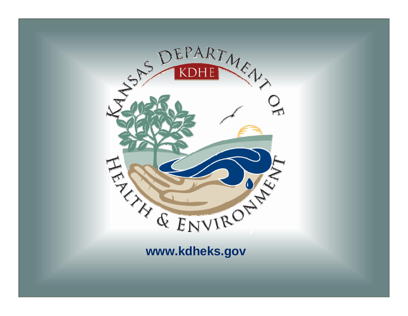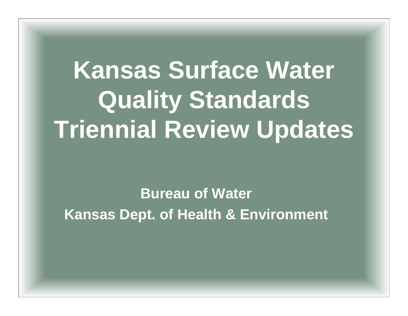# **Kansas Surface Water Quality Standards Triennial Review Updates**

#### **Bureau of WaterKansas Dept. of Health & Environment**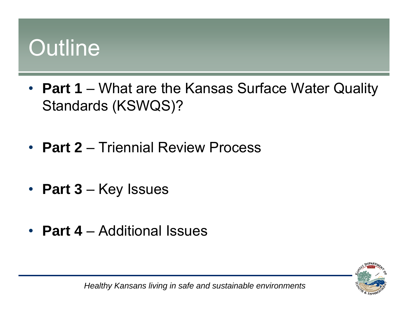#### **Outline**

- **Part 1** What are the Kansas Surface Water Quality Standards (KSWQS)?
- **Part 2**  Triennial Review Process
- **Part 3** Key Issues
- **Part 4** Additional Issues



*Healthy Kansans living in safe and sustainable environments*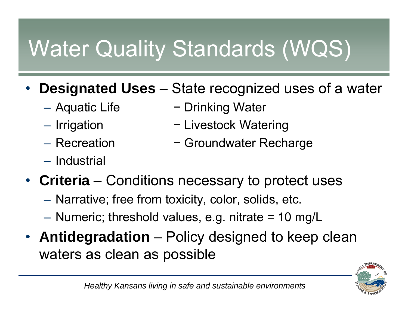## Water Quality Standards (WQS)

- • **Designated Uses** – State recognized uses of a water
	- Aquatic Life
	- Irrigation
	- Recreation
	- Industrial
- − Drinking Water
- − Livestock Watering
- − Groundwater Recharge
- **Criteria** Conditions necessary to protect uses
	- Narrative; free from toxicity, color, solids, etc.
	- Numeric; threshold values, e.g. nitrate = 10 mg/L
- **Antidegradation** Policy designed to keep clean waters as clean as possible

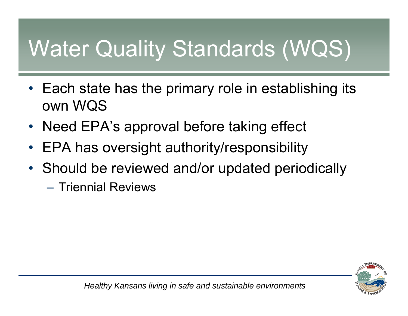## Water Quality Standards (WQS)

- • Each state has the primary role in establishing its own WQS
- •Need EPA's approval before taking effect
- •EPA has oversight authority/responsibility
- Should be reviewed and/or updated periodically
	- Triennial Reviews

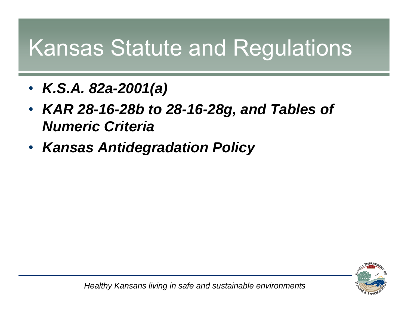#### Kansas Statute and Regulations

- $\bullet$ *K.S.A. 82a-2001(a)*
- $\bullet$  *KAR 28-16-28b to 28-16-28g, and Tables of Numeric Criteria*
- *Kansas Antidegradation Policy*

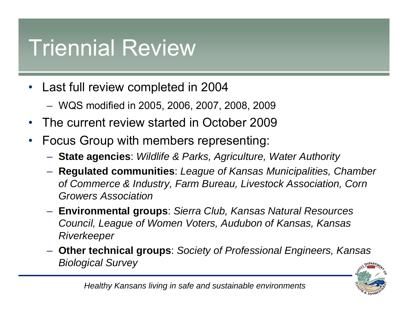#### Triennial Review

- $\bullet$  Last full review completed in 2004
	- WQS modified in 2005, 2006, 2007, 2008, 2009
- $\bullet$ The current review started in October 2009
- $\bullet$  Focus Group with members representing:
	- **State agencies**: *Wildlife & Parks, Agriculture, Water Authority*
	- **Regulated communities**: *League of Kansas Municipalities, Chamber of Commerce & Industry, Farm Bureau, Livestock Association, Corn Growers Association*
	- **Environmental groups**: *Sierra Club, Kansas Natural Resources Council, League of Women Voters, Audubon of Kansas, Kansas Riverkeeper*
	- **Other technical groups**: *Society of Professional Engineers, Kansas Biological Survey*

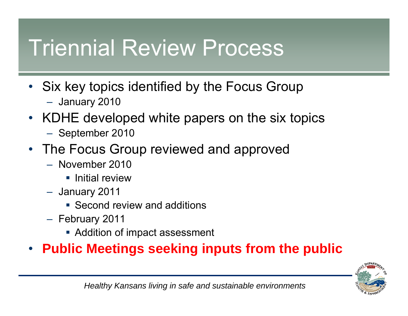#### Triennial Review Process

- Six key topics identified by the Focus Group January 2010
- $\bullet$  KDHE developed white papers on the six topics
	- $-$  September 2010
- The Focus Group reviewed and approved
	- November 2010
		- **Initial review**
	- January 2011
		- **Second review and additions**
	- February 2011
		- Addition of impact assessment

#### •**Public Meetings seeking inputs from the public**

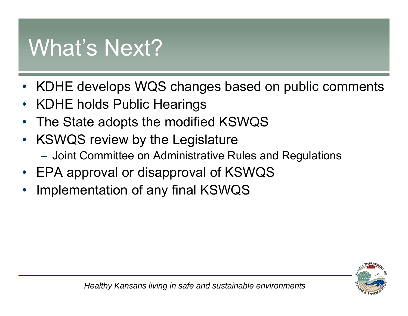#### What's Next?

- •KDHE develops WQS changes based on public comments
- •KDHE holds Public Hearings
- •The State adopts the modified KSWQS
- • KSWQS review by the Legislature Joint Committee on Administrative Rules and Regulations
- •EPA approval or disapproval of KSWQS
- •Implementation of any final KSWQS

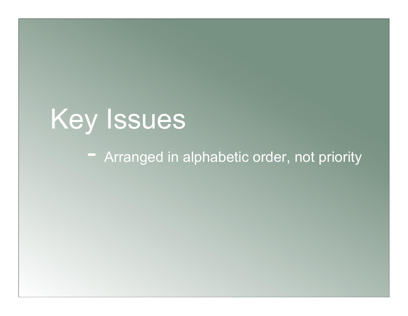# Key Issues

#### - Arranged in alphabetic order, not priority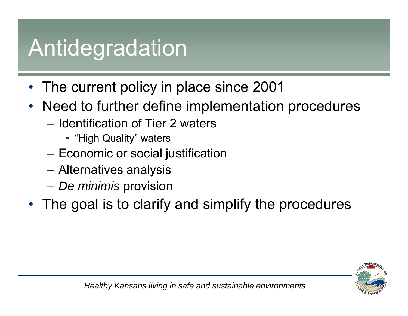#### Antidegradation

- •The current policy in place since 2001
- $\bullet$  Need to further define implementation procedures
	- Identification of Tier 2 waters
		- "High Quality" waters
	- $-$  Economic or social justification
	- Alternatives analysis
	- $\mathcal{L}_{\mathcal{A}}$ *De minimis* provision
- $\bullet$ The goal is to clarify and simplify the procedures

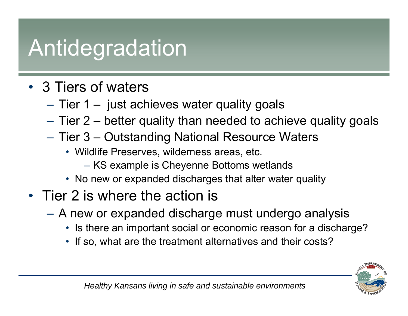#### Antidegradation

- 3 Tiers of waters
	- $\mathcal{L}_{\mathcal{A}}$ – Tier 1 – just achieves water quality goals
	- –Tier 2 – better quality than needed to achieve quality goals
	- Tier 3 Outstanding National Resource Waters
		- Wildlife Preserves, wilderness areas, etc.
			- KS example is Cheyenne Bottoms wetlands
		- No new or expanded discharges that alter water quality
- Tier 2 is where the action is
	- A new or expanded discharge must undergo analysis
		- Is there an important social or economic reason for a discharge?
		- If so, what are the treatment alternatives and their costs?

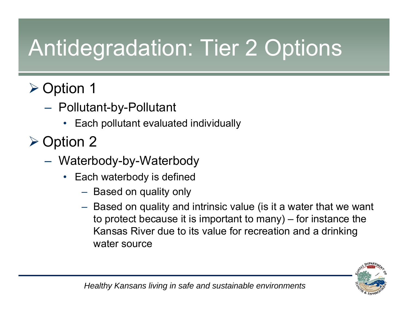## Antidegradation: Tier 2 Options

#### ¾ Option 1

- Pollutant-by-Pollutant
	- •Each pollutant evaluated individually
- ¾ Option 2
	- Waterbody-by-Waterbody
		- Each waterbody is defined
			- $\mathcal{L}_{\mathcal{A}}$  , and the set of  $\mathcal{L}_{\mathcal{A}}$  $-$  Based on quality only
			- – Based on quality and intrinsic value (is it a water that we want to protect because it is important to many) – for instance the Kansas River due to its value for recreation and a drinking water source

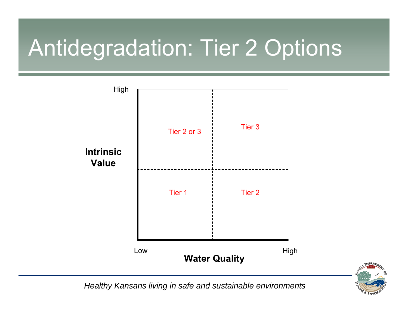### Antidegradation: Tier 2 Options





*Healthy Kansans living in safe and sustainable environments*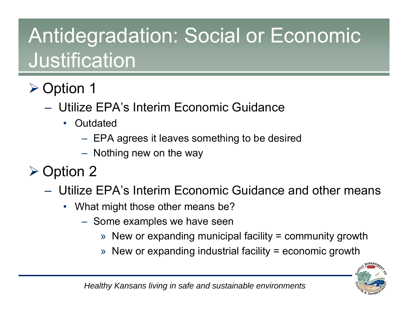#### Antidegradation: Social or Economic Justification

#### ¾ Option 1

- Utilize EPA's Interim Economic Guidance
	- Outdated
		- – $-$  EPA agrees it leaves something to be desired
		- $\mathcal{L}_{\mathcal{A}}$  , and the set of  $\mathcal{L}_{\mathcal{A}}$  $-$  Nothing new on the way
- ¾ Option 2
	- Utilize EPA's Interim Economic Guidance and other means
		- What might those other means be?
			- – $-$  Some examples we have seen
				- » New or expanding municipal facility = community growth
				- » New or expanding industrial facility = economic growth

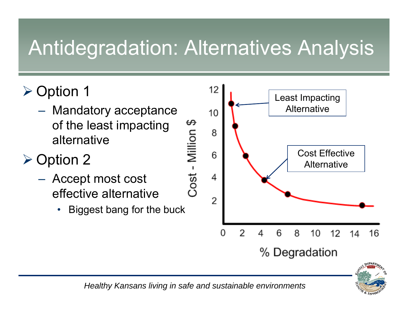#### Antidegradation: Alternatives Analysis

- ¾ Option 1
	- Mandatory acceptance of the least impacting alternative

#### ¾ Option 2

- – Accept most cost effective alternative
	- •Biggest bang for the buck





*Healthy Kansans living in safe and sustainable environments*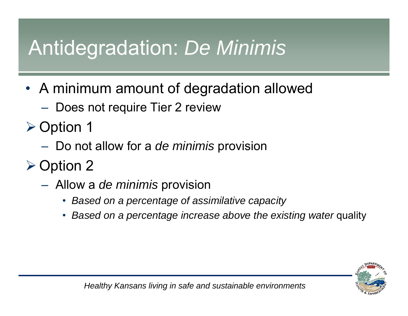#### Antidegradation: *De Minimis*

- A minimum amount of degradation allowed
	- $-$  Does not require Tier 2 review
- ¾ Option 1
	- Do not allow for a *de minimis* provision
- ¾ Option 2
	- Allow a *de minimis* provision
		- *Based on a percentage of assimilative capacity*
		- $\bullet$ *Based on a percentage increase above the existing water quality*

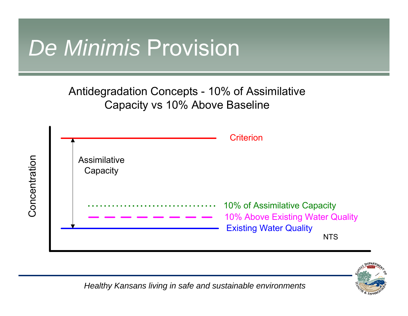#### *De Minimis* Provision

Antidegradation Concepts - 10% of Assimilative Capacity vs 10% Above Baseline





*Healthy Kansans living in safe and sustainable environments*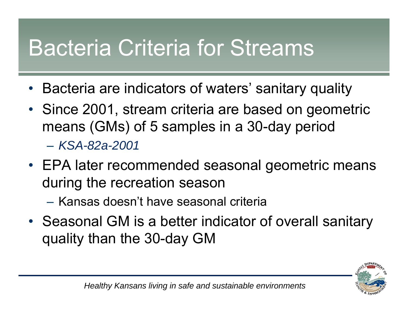#### Bacteria Criteria for Streams

- •Bacteria are indicators of waters' sanitary quality
- Since 2001, stream criteria are based on geometric means (GMs) of 5 samples in a 30-day period – *KSA-82a-2001*
- EPA later recommended seasonal geometric means during the recreation season
	- Kansas doesn't have seasonal criteria
- Seasonal GM is a better indicator of overall sanitary quality than the 30-day GM

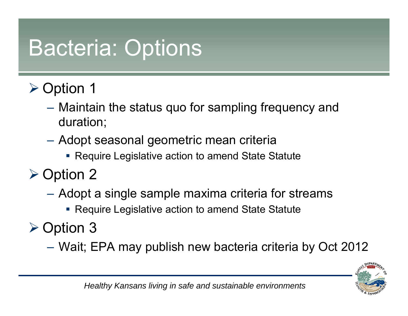#### Bacteria: Options

- ¾ Option 1
	- – Maintain the status quo for sampling frequency and duration;
	- $\mathcal{L}_{\mathcal{A}}$  Adopt seasonal geometric mean criteria
		- **Require Legislative action to amend State Statute**
- ¾ Option 2
	- – Adopt a single sample maxima criteria for streams
		- Require Legislative action to amend State Statute
- ¾ Option 3
	- $\mathcal{L}_{\mathcal{A}}$ Wait; EPA may publish new bacteria criteria by Oct 2012

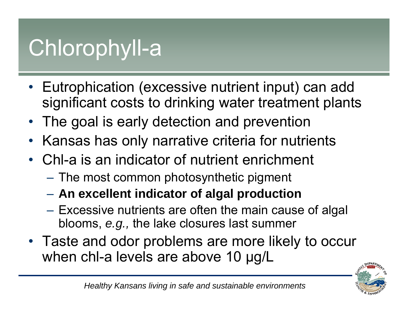#### Chlorophyll-a

- Eutrophication (excessive nutrient input) can add significant costs to drinking water treatment plants
- •The goal is early detection and prevention
- •Kansas has only narrative criteria for nutrients
- Chl-a is an indicator of nutrient enrichment
	- $-$  The most common photosynthetic pigment  $\,$
	- **An excellent indicator of algal production**
	- Excessive nutrients are often the main cause of algal blooms, *e.g.,* the lake closures last summer
- Taste and odor problems are more likely to occur when chl-a levels are above 10 μg/L

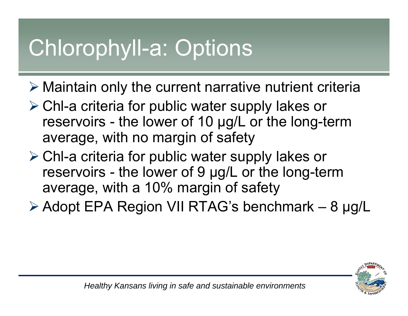### Chlorophyll-a: Options

- $\triangleright$  Maintain only the current narrative nutrient criteria
- ¾ Chl-a criteria for public water supply lakes or reservoirs - the lower of 10 μg/L or the long-term average, with no margin of safety
- ¾ Chl-a criteria for public water supply lakes or reservoirs - the lower of 9 μg/L or the long-term average, with a 10% margin of safety
- ¾ Adopt EPA Region VII RTAG's benchmark 8 μg/L

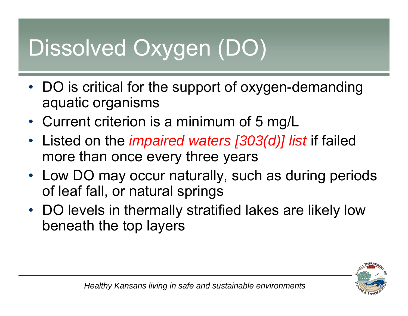## Dissolved Oxygen (DO)

- DO is critical for the support of oxygen-demanding aquatic organisms
- Current criterion is a minimum of 5 mg/L
- $\bullet$  Listed on the *impaired waters [303(d)] list* if failed more than once every three years
- Low DO may occur naturally, such as during periods of leaf fall, or natural springs
- DO levels in thermally stratified lakes are likely low beneath the top layers

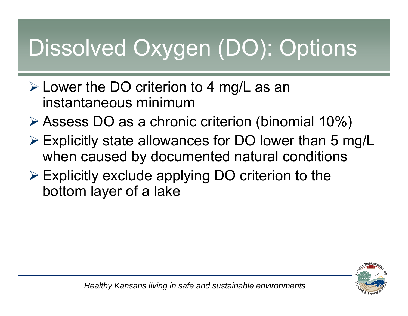## Dissolved Oxygen (DO): Options

- ¾ Lower the DO criterion to 4 mg/L as an instantaneous minimum
- ¾ Assess DO as a chronic criterion (binomial 10%)
- ¾ Explicitly state allowances for DO lower than 5 mg/L when caused by documented natural conditions
- $\triangleright$  Explicitly exclude applying DO criterion to the bottom layer of a lake

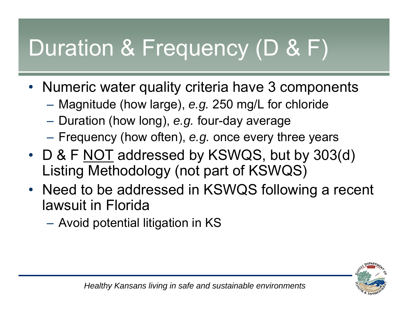## Duration & Frequency (D & F)

- Numeric water quality criteria have 3 components
	- $\mathcal{L}_{\mathcal{A}}$ Magnitude (how large), *e.g.* 250 mg/L for chloride
	- –Duration (how long), *e.g.* four-day average
	- Frequency (how often), *e.g.* once every three years
- D & F <u>NOT</u> addressed by KSWQS, but by 303(d) Listing Methodology (not part of KSWQS)
- Need to be addressed in KSWQS following a recent lawsuit in Florida
	- Avoid potential litigation in KS

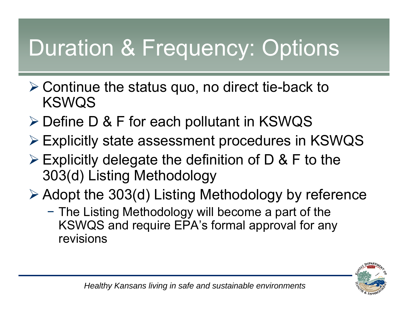### Duration & Frequency: Options

- $\triangleright$  Continue the status quo, no direct tie-back to KSWQS
- ¾ Define D & F for each pollutant in KSWQS
- ¾ Explicitly state assessment procedures in KSWQS
- $\triangleright$  Explicitly delegate the definition of D & F to the 303(d) Listing Methodology
- ¾ Adopt the 303(d) Listing Methodology by reference
	- − The Listing Methodology will become a part of the KSWQS and require EPA's formal approval for any revisions

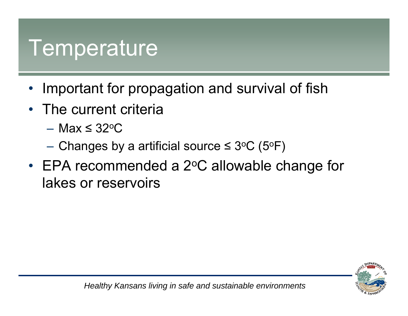#### **Temperature**

- •Important for propagation and survival of fish
- $\bullet$  The current criteria
	- Max ≤ 32ºC
	- $−$  Changes by a artificial source ≤ 3ºC (5ºF)
- $\cdot$  EPA recommended a 2 $\circ$ C allowable change for lakes or reservoirs

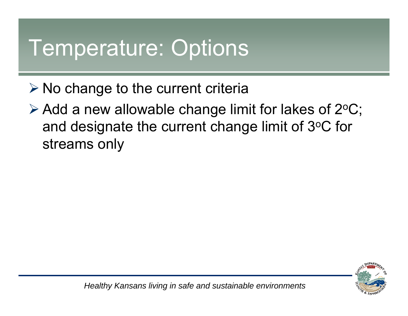#### Temperature: Options

- $\triangleright$  No change to the current criteria
- $\triangleright$  Add a new allowable change limit for lakes of 2 $\mathrm{^{\circ}C}$ ; and designate the current change limit of 3°C for streams only

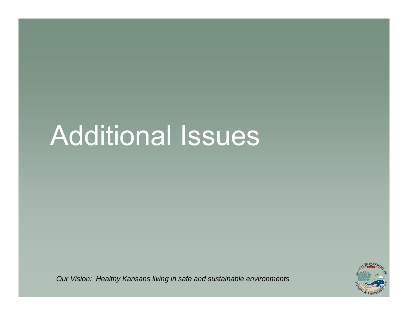## Additional Issues



*Our Vision: Healthy Kansans living in safe and sustainable environments*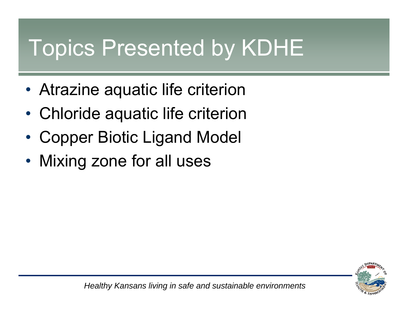#### Topics Presented by KDHE

- •Atrazine aquatic life criterion
- $\bullet$ Chloride aquatic life criterion
- •Copper Biotic Ligand Model
- •Mixing zone for all uses

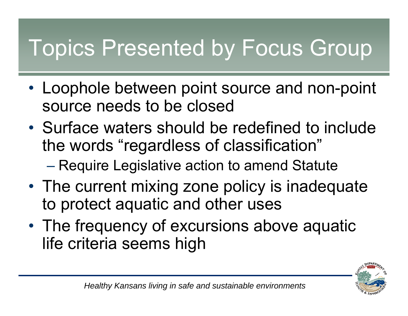### Topics Presented by Focus Group

- Loophole between point source and non-point source needs to be closed
- Surface waters should be redefined to include the words "regardless of classification"
	- Require Legislative action to amend Statute
- The current mixing zone policy is inadequate to protect aquatic and other uses
- •• The frequency of excursions above aquatic life criteria seems high

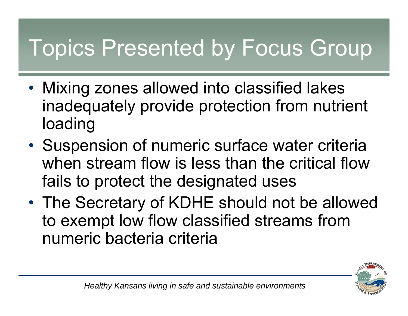### Topics Presented by Focus Group

- $\bullet$  Mixing zones allowed into classified lakes inadequately provide protection from nutrient loading
- •• Suspension of numeric surface water criteria when stream flow is less than the critical flow fails to protect the designated uses
- • The Secretary of KDHE should not be allowed to exempt low flow classified streams from numeric bacteria criteria

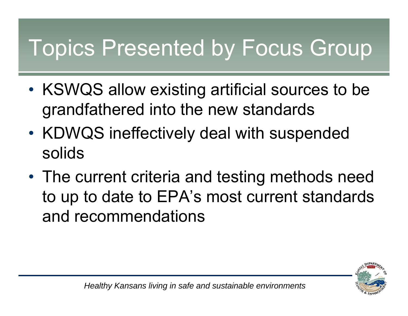#### Topics Presented by Focus Group

- •• KSWQS allow existing artificial sources to be grandfathered into the new standards
- •• KDWQS ineffectively deal with suspended solids
- The current criteria and testing methods need to up to date to EPA's most current standards and recommendations

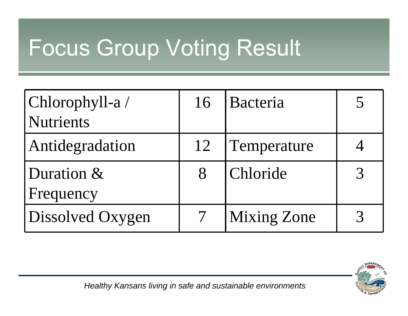#### Focus Group Voting Result

| Chlorophyll-a/          | 16 | Bacteria           |  |
|-------------------------|----|--------------------|--|
| <b>Nutrients</b>        |    |                    |  |
| Antidegradation         | 12 | Temperature        |  |
| Duration &<br>Frequency | 8  | Chloride           |  |
| Dissolved Oxygen        |    | <b>Mixing Zone</b> |  |



*Healthy Kansans living in safe and sustainable environments*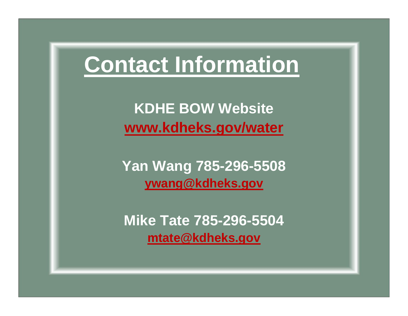#### **Contact Information**

**KDHE BOW Website www.kdheks.gov/water**

**Yan Wang 785-296-5508 ywang@kdheks.gov**

**Mike Tate 785-296-5504 mtate@kdheks.gov**